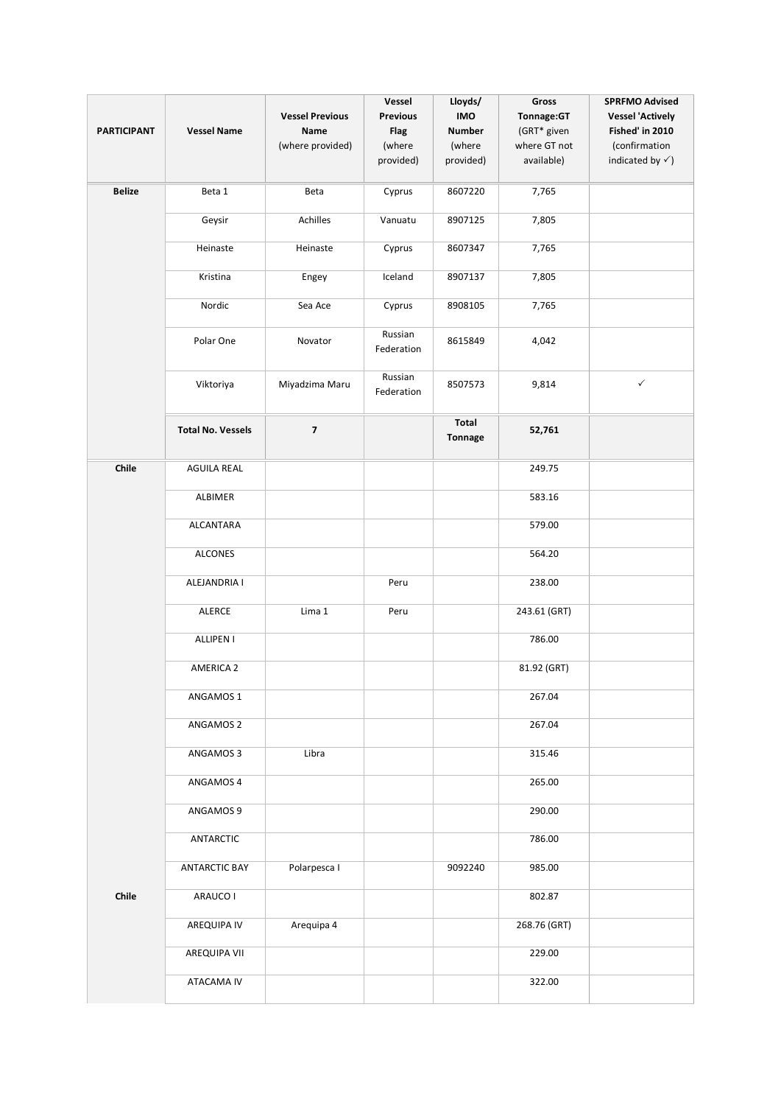| <b>PARTICIPANT</b> | <b>Vessel Name</b>       | <b>Vessel Previous</b><br>Name<br>(where provided) | Vessel<br><b>Previous</b><br><b>Flag</b><br>(where<br>provided) | Lloyds/<br><b>IMO</b><br><b>Number</b><br>(where<br>provided) | Gross<br>Tonnage:GT<br>(GRT* given<br>where GT not<br>available) | <b>SPRFMO Advised</b><br><b>Vessel 'Actively</b><br>Fished' in 2010<br>(confirmation<br>indicated by $\checkmark$ ) |
|--------------------|--------------------------|----------------------------------------------------|-----------------------------------------------------------------|---------------------------------------------------------------|------------------------------------------------------------------|---------------------------------------------------------------------------------------------------------------------|
| <b>Belize</b>      | Beta 1                   | Beta                                               | Cyprus                                                          | 8607220                                                       | 7,765                                                            |                                                                                                                     |
|                    | Geysir                   | Achilles                                           | Vanuatu                                                         | 8907125                                                       | 7,805                                                            |                                                                                                                     |
|                    | Heinaste                 | Heinaste                                           | Cyprus                                                          | 8607347                                                       | 7,765                                                            |                                                                                                                     |
|                    | Kristina                 | Engey                                              | Iceland                                                         | 8907137                                                       | 7,805                                                            |                                                                                                                     |
|                    | Nordic                   | Sea Ace                                            | Cyprus                                                          | 8908105                                                       | 7,765                                                            |                                                                                                                     |
|                    | Polar One                | Novator                                            | Russian<br>Federation                                           | 8615849                                                       | 4,042                                                            |                                                                                                                     |
|                    | Viktoriya                | Miyadzima Maru                                     | Russian<br>Federation                                           | 8507573                                                       | 9,814                                                            | $\checkmark$                                                                                                        |
|                    | <b>Total No. Vessels</b> | $\overline{\mathbf{z}}$                            |                                                                 | Total<br>Tonnage                                              | 52,761                                                           |                                                                                                                     |
| Chile              | <b>AGUILA REAL</b>       |                                                    |                                                                 |                                                               | 249.75                                                           |                                                                                                                     |
|                    | ALBIMER                  |                                                    |                                                                 |                                                               | 583.16                                                           |                                                                                                                     |
|                    | <b>ALCANTARA</b>         |                                                    |                                                                 |                                                               | 579.00                                                           |                                                                                                                     |
|                    | <b>ALCONES</b>           |                                                    |                                                                 |                                                               | 564.20                                                           |                                                                                                                     |
|                    | ALEJANDRIA I             |                                                    | Peru                                                            |                                                               | 238.00                                                           |                                                                                                                     |
|                    | ALERCE                   | Lima 1                                             | Peru                                                            |                                                               | 243.61 (GRT)                                                     |                                                                                                                     |
|                    | <b>ALLIPEN I</b>         |                                                    |                                                                 |                                                               | 786.00                                                           |                                                                                                                     |
|                    | <b>AMERICA 2</b>         |                                                    |                                                                 |                                                               | 81.92 (GRT)                                                      |                                                                                                                     |
|                    | ANGAMOS 1                |                                                    |                                                                 |                                                               | 267.04                                                           |                                                                                                                     |
|                    | ANGAMOS 2                |                                                    |                                                                 |                                                               | 267.04                                                           |                                                                                                                     |
|                    | ANGAMOS 3                | Libra                                              |                                                                 |                                                               | 315.46                                                           |                                                                                                                     |
|                    | ANGAMOS 4                |                                                    |                                                                 |                                                               | 265.00                                                           |                                                                                                                     |
|                    | ANGAMOS 9                |                                                    |                                                                 |                                                               | 290.00                                                           |                                                                                                                     |
|                    | ANTARCTIC                |                                                    |                                                                 |                                                               | 786.00                                                           |                                                                                                                     |
|                    | <b>ANTARCTIC BAY</b>     | Polarpesca I                                       |                                                                 | 9092240                                                       | 985.00                                                           |                                                                                                                     |
| Chile              | ARAUCO I                 |                                                    |                                                                 |                                                               | 802.87                                                           |                                                                                                                     |
|                    | AREQUIPA IV              | Arequipa 4                                         |                                                                 |                                                               | 268.76 (GRT)                                                     |                                                                                                                     |
|                    | AREQUIPA VII             |                                                    |                                                                 |                                                               | 229.00                                                           |                                                                                                                     |
|                    | ATACAMA IV               |                                                    |                                                                 |                                                               | 322.00                                                           |                                                                                                                     |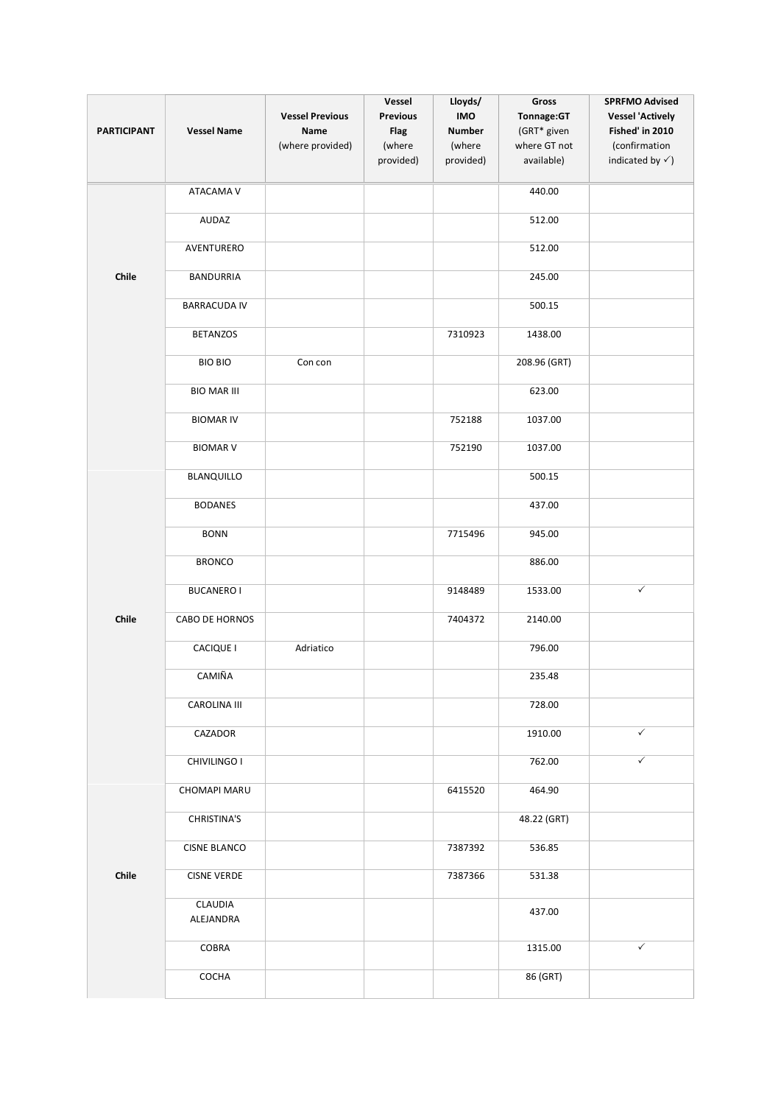| <b>PARTICIPANT</b> | <b>Vessel Name</b>   | <b>Vessel Previous</b><br><b>Name</b><br>(where provided) | Vessel<br><b>Previous</b><br><b>Flag</b><br>(where<br>provided) | Lloyds/<br>IMO<br><b>Number</b><br>(where<br>provided) | Gross<br>Tonnage:GT<br>(GRT* given<br>where GT not<br>available) | <b>SPRFMO Advised</b><br><b>Vessel 'Actively</b><br>Fished' in 2010<br>(confirmation<br>indicated by $\checkmark$ ) |
|--------------------|----------------------|-----------------------------------------------------------|-----------------------------------------------------------------|--------------------------------------------------------|------------------------------------------------------------------|---------------------------------------------------------------------------------------------------------------------|
|                    | ATACAMA V            |                                                           |                                                                 |                                                        | 440.00                                                           |                                                                                                                     |
|                    | AUDAZ                |                                                           |                                                                 |                                                        | 512.00                                                           |                                                                                                                     |
|                    | AVENTURERO           |                                                           |                                                                 |                                                        | 512.00                                                           |                                                                                                                     |
| Chile              | <b>BANDURRIA</b>     |                                                           |                                                                 |                                                        | 245.00                                                           |                                                                                                                     |
|                    | <b>BARRACUDA IV</b>  |                                                           |                                                                 |                                                        | 500.15                                                           |                                                                                                                     |
|                    | <b>BETANZOS</b>      |                                                           |                                                                 | 7310923                                                | 1438.00                                                          |                                                                                                                     |
|                    | <b>BIO BIO</b>       | Con con                                                   |                                                                 |                                                        | 208.96 (GRT)                                                     |                                                                                                                     |
|                    | <b>BIO MAR III</b>   |                                                           |                                                                 |                                                        | 623.00                                                           |                                                                                                                     |
|                    | <b>BIOMAR IV</b>     |                                                           |                                                                 | 752188                                                 | 1037.00                                                          |                                                                                                                     |
|                    | <b>BIOMAR V</b>      |                                                           |                                                                 | 752190                                                 | 1037.00                                                          |                                                                                                                     |
|                    | BLANQUILLO           |                                                           |                                                                 |                                                        | 500.15                                                           |                                                                                                                     |
|                    | <b>BODANES</b>       |                                                           |                                                                 |                                                        | 437.00                                                           |                                                                                                                     |
|                    | <b>BONN</b>          |                                                           |                                                                 | 7715496                                                | 945.00                                                           |                                                                                                                     |
|                    | <b>BRONCO</b>        |                                                           |                                                                 |                                                        | 886.00                                                           |                                                                                                                     |
|                    | <b>BUCANERO I</b>    |                                                           |                                                                 | 9148489                                                | 1533.00                                                          | $\checkmark$                                                                                                        |
| Chile              | CABO DE HORNOS       |                                                           |                                                                 | 7404372                                                | 2140.00                                                          |                                                                                                                     |
|                    | <b>CACIQUE I</b>     | Adriatico                                                 |                                                                 |                                                        | 796.00                                                           |                                                                                                                     |
|                    | <b>CAMIÑA</b>        |                                                           |                                                                 |                                                        | 235.48                                                           |                                                                                                                     |
|                    | CAROLINA III         |                                                           |                                                                 |                                                        | 728.00                                                           |                                                                                                                     |
|                    | CAZADOR              |                                                           |                                                                 |                                                        | 1910.00                                                          | $\checkmark$                                                                                                        |
|                    | CHIVILINGO I         |                                                           |                                                                 |                                                        | 762.00                                                           | $\checkmark$                                                                                                        |
|                    | CHOMAPI MARU         |                                                           |                                                                 | 6415520                                                | 464.90                                                           |                                                                                                                     |
|                    | CHRISTINA'S          |                                                           |                                                                 |                                                        | 48.22 (GRT)                                                      |                                                                                                                     |
|                    | <b>CISNE BLANCO</b>  |                                                           |                                                                 | 7387392                                                | 536.85                                                           |                                                                                                                     |
| Chile              | <b>CISNE VERDE</b>   |                                                           |                                                                 | 7387366                                                | 531.38                                                           |                                                                                                                     |
|                    | CLAUDIA<br>ALEJANDRA |                                                           |                                                                 |                                                        | 437.00                                                           |                                                                                                                     |
|                    | COBRA                |                                                           |                                                                 |                                                        | 1315.00                                                          | $\checkmark$                                                                                                        |
|                    | COCHA                |                                                           |                                                                 |                                                        | 86 (GRT)                                                         |                                                                                                                     |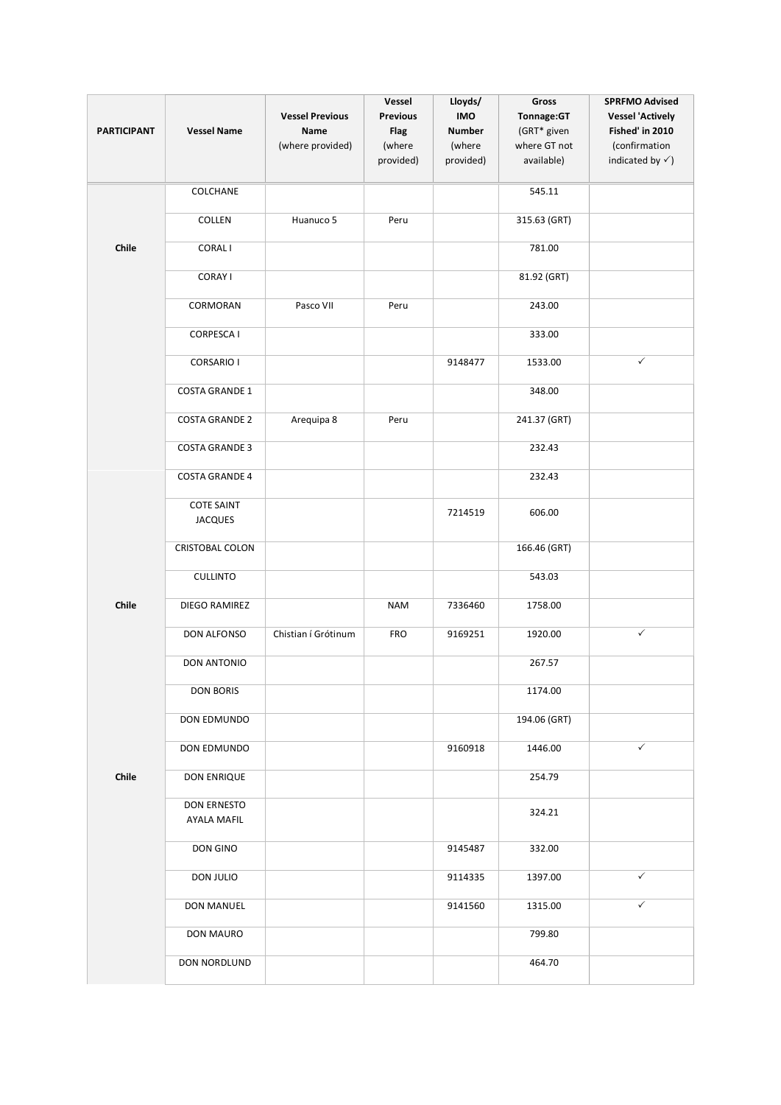| <b>PARTICIPANT</b> | <b>Vessel Name</b>                  | <b>Vessel Previous</b><br>Name<br>(where provided) | Vessel<br><b>Previous</b><br><b>Flag</b><br>(where<br>provided) | Lloyds/<br><b>IMO</b><br><b>Number</b><br>(where<br>provided) | Gross<br>Tonnage:GT<br>(GRT* given<br>where GT not<br>available) | <b>SPRFMO Advised</b><br><b>Vessel 'Actively</b><br>Fished' in 2010<br>(confirmation<br>indicated by $\checkmark$ ) |
|--------------------|-------------------------------------|----------------------------------------------------|-----------------------------------------------------------------|---------------------------------------------------------------|------------------------------------------------------------------|---------------------------------------------------------------------------------------------------------------------|
|                    | COLCHANE                            |                                                    |                                                                 |                                                               | 545.11                                                           |                                                                                                                     |
|                    | COLLEN                              | Huanuco 5                                          | Peru                                                            |                                                               | 315.63 (GRT)                                                     |                                                                                                                     |
| Chile              | <b>CORALI</b>                       |                                                    |                                                                 |                                                               | 781.00                                                           |                                                                                                                     |
|                    | <b>CORAY I</b>                      |                                                    |                                                                 |                                                               | 81.92 (GRT)                                                      |                                                                                                                     |
|                    | CORMORAN                            | Pasco VII                                          | Peru                                                            |                                                               | 243.00                                                           |                                                                                                                     |
|                    | <b>CORPESCA I</b>                   |                                                    |                                                                 |                                                               | 333.00                                                           |                                                                                                                     |
|                    | <b>CORSARIO I</b>                   |                                                    |                                                                 | 9148477                                                       | 1533.00                                                          | $\checkmark$                                                                                                        |
|                    | <b>COSTA GRANDE 1</b>               |                                                    |                                                                 |                                                               | 348.00                                                           |                                                                                                                     |
|                    | <b>COSTA GRANDE 2</b>               | Arequipa 8                                         | Peru                                                            |                                                               | 241.37 (GRT)                                                     |                                                                                                                     |
|                    | <b>COSTA GRANDE 3</b>               |                                                    |                                                                 |                                                               | 232.43                                                           |                                                                                                                     |
|                    | <b>COSTA GRANDE 4</b>               |                                                    |                                                                 |                                                               | 232.43                                                           |                                                                                                                     |
|                    | <b>COTE SAINT</b><br><b>JACQUES</b> |                                                    |                                                                 | 7214519                                                       | 606.00                                                           |                                                                                                                     |
|                    | <b>CRISTOBAL COLON</b>              |                                                    |                                                                 |                                                               | 166.46 (GRT)                                                     |                                                                                                                     |
|                    | <b>CULLINTO</b>                     |                                                    |                                                                 |                                                               | 543.03                                                           |                                                                                                                     |
| Chile              | DIEGO RAMIREZ                       |                                                    | <b>NAM</b>                                                      | 7336460                                                       | 1758.00                                                          |                                                                                                                     |
|                    | DON ALFONSO                         | Chistian í Grótinum                                | <b>FRO</b>                                                      | 9169251                                                       | 1920.00                                                          | $\checkmark$                                                                                                        |
|                    | <b>DON ANTONIO</b>                  |                                                    |                                                                 |                                                               | 267.57                                                           |                                                                                                                     |
|                    | <b>DON BORIS</b>                    |                                                    |                                                                 |                                                               | 1174.00                                                          |                                                                                                                     |
|                    | DON EDMUNDO                         |                                                    |                                                                 |                                                               | 194.06 (GRT)                                                     |                                                                                                                     |
|                    | DON EDMUNDO                         |                                                    |                                                                 | 9160918                                                       | 1446.00                                                          | $\checkmark$                                                                                                        |
| Chile              | DON ENRIQUE                         |                                                    |                                                                 |                                                               | 254.79                                                           |                                                                                                                     |
|                    | DON ERNESTO<br><b>AYALA MAFIL</b>   |                                                    |                                                                 |                                                               | 324.21                                                           |                                                                                                                     |
|                    | DON GINO                            |                                                    |                                                                 | 9145487                                                       | 332.00                                                           |                                                                                                                     |
|                    | DON JULIO                           |                                                    |                                                                 | 9114335                                                       | 1397.00                                                          | $\checkmark$                                                                                                        |
|                    | DON MANUEL                          |                                                    |                                                                 | 9141560                                                       | 1315.00                                                          | $\checkmark$                                                                                                        |
|                    | DON MAURO                           |                                                    |                                                                 |                                                               | 799.80                                                           |                                                                                                                     |
|                    | DON NORDLUND                        |                                                    |                                                                 |                                                               | 464.70                                                           |                                                                                                                     |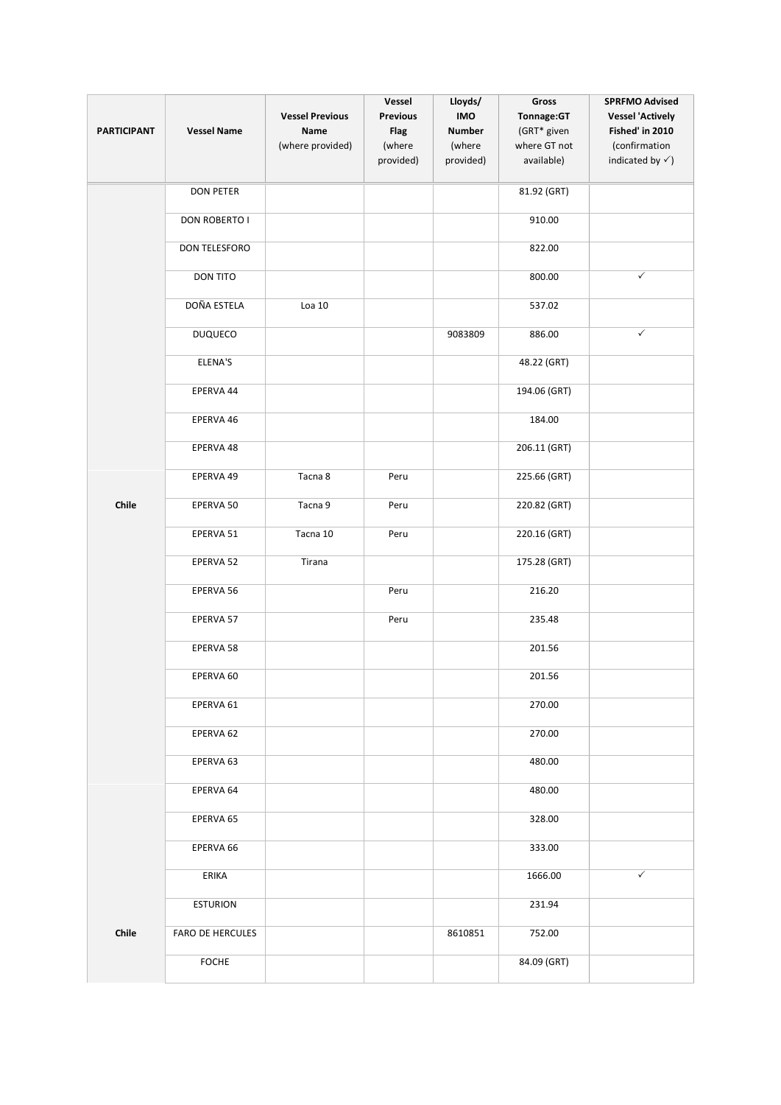| <b>PARTICIPANT</b> | <b>Vessel Name</b> | <b>Vessel Previous</b><br>Name<br>(where provided) | Vessel<br><b>Previous</b><br><b>Flag</b><br>(where<br>provided) | Lloyds/<br>IMO<br><b>Number</b><br>(where<br>provided) | Gross<br>Tonnage:GT<br>(GRT* given<br>where GT not<br>available) | <b>SPRFMO Advised</b><br><b>Vessel 'Actively</b><br>Fished' in 2010<br>(confirmation<br>indicated by $\checkmark$ ) |
|--------------------|--------------------|----------------------------------------------------|-----------------------------------------------------------------|--------------------------------------------------------|------------------------------------------------------------------|---------------------------------------------------------------------------------------------------------------------|
|                    | <b>DON PETER</b>   |                                                    |                                                                 |                                                        | 81.92 (GRT)                                                      |                                                                                                                     |
|                    | DON ROBERTO I      |                                                    |                                                                 |                                                        | 910.00                                                           |                                                                                                                     |
|                    | DON TELESFORO      |                                                    |                                                                 |                                                        | 822.00                                                           |                                                                                                                     |
|                    | DON TITO           |                                                    |                                                                 |                                                        | 800.00                                                           | $\checkmark$                                                                                                        |
|                    | DOÑA ESTELA        | $Loa$ 10                                           |                                                                 |                                                        | 537.02                                                           |                                                                                                                     |
|                    | <b>DUQUECO</b>     |                                                    |                                                                 | 9083809                                                | 886.00                                                           | $\checkmark$                                                                                                        |
|                    | ELENA'S            |                                                    |                                                                 |                                                        | 48.22 (GRT)                                                      |                                                                                                                     |
|                    | EPERVA 44          |                                                    |                                                                 |                                                        | 194.06 (GRT)                                                     |                                                                                                                     |
|                    | EPERVA 46          |                                                    |                                                                 |                                                        | 184.00                                                           |                                                                                                                     |
|                    | EPERVA 48          |                                                    |                                                                 |                                                        | 206.11 (GRT)                                                     |                                                                                                                     |
|                    | EPERVA 49          | Tacna 8                                            | Peru                                                            |                                                        | 225.66 (GRT)                                                     |                                                                                                                     |
| Chile              | EPERVA 50          | Tacna 9                                            | Peru                                                            |                                                        | 220.82 (GRT)                                                     |                                                                                                                     |
|                    | EPERVA 51          | Tacna 10                                           | Peru                                                            |                                                        | 220.16 (GRT)                                                     |                                                                                                                     |
|                    | EPERVA 52          | Tirana                                             |                                                                 |                                                        | 175.28 (GRT)                                                     |                                                                                                                     |
|                    | EPERVA 56          |                                                    | Peru                                                            |                                                        | 216.20                                                           |                                                                                                                     |
|                    | EPERVA 57          |                                                    | Peru                                                            |                                                        | 235.48                                                           |                                                                                                                     |
|                    | EPERVA 58          |                                                    |                                                                 |                                                        | 201.56                                                           |                                                                                                                     |
|                    | EPERVA 60          |                                                    |                                                                 |                                                        | 201.56                                                           |                                                                                                                     |
|                    | EPERVA 61          |                                                    |                                                                 |                                                        | 270.00                                                           |                                                                                                                     |
|                    | EPERVA 62          |                                                    |                                                                 |                                                        | 270.00                                                           |                                                                                                                     |
|                    | EPERVA 63          |                                                    |                                                                 |                                                        | 480.00                                                           |                                                                                                                     |
|                    | EPERVA 64          |                                                    |                                                                 |                                                        | 480.00                                                           |                                                                                                                     |
|                    | EPERVA 65          |                                                    |                                                                 |                                                        | 328.00                                                           |                                                                                                                     |
|                    | EPERVA 66          |                                                    |                                                                 |                                                        | 333.00                                                           |                                                                                                                     |
|                    | ERIKA              |                                                    |                                                                 |                                                        | 1666.00                                                          | $\checkmark$                                                                                                        |
|                    | <b>ESTURION</b>    |                                                    |                                                                 |                                                        | 231.94                                                           |                                                                                                                     |
| Chile              | FARO DE HERCULES   |                                                    |                                                                 | 8610851                                                | 752.00                                                           |                                                                                                                     |
|                    | <b>FOCHE</b>       |                                                    |                                                                 |                                                        | 84.09 (GRT)                                                      |                                                                                                                     |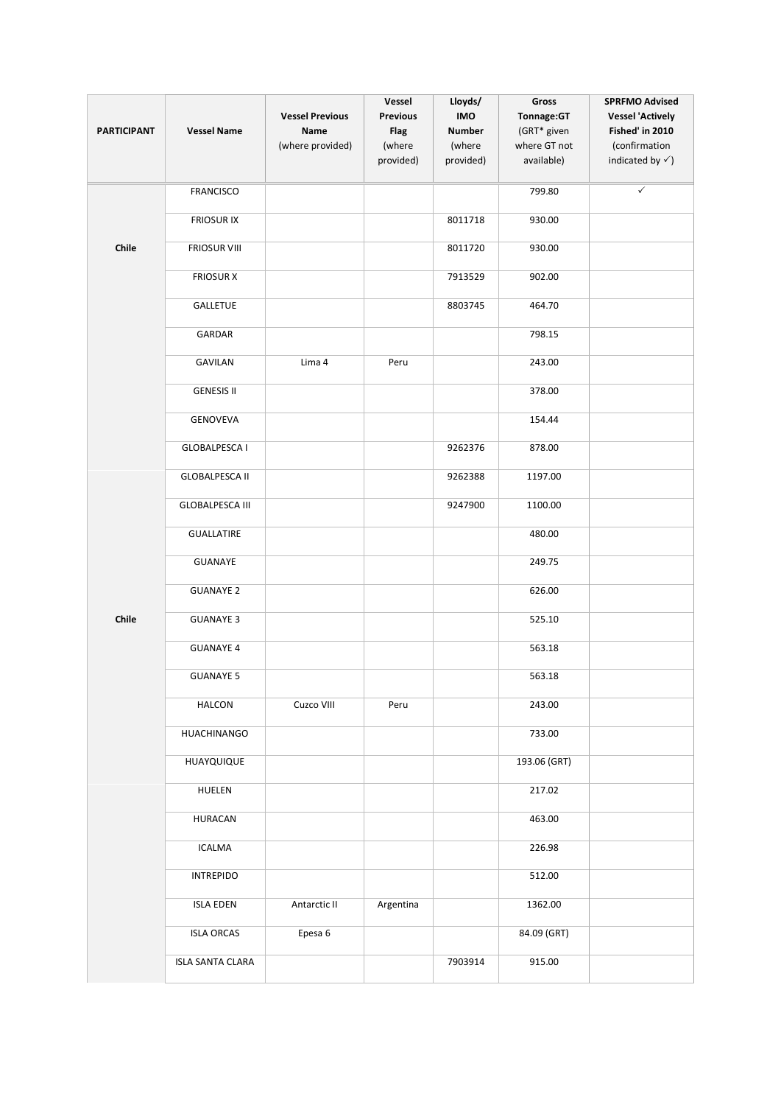| <b>PARTICIPANT</b> | <b>Vessel Name</b>      | <b>Vessel Previous</b><br>Name<br>(where provided) | Vessel<br><b>Previous</b><br><b>Flag</b><br>(where<br>provided) | Lloyds/<br><b>IMO</b><br><b>Number</b><br>(where<br>provided) | Gross<br>Tonnage:GT<br>(GRT* given<br>where GT not<br>available) | <b>SPRFMO Advised</b><br><b>Vessel 'Actively</b><br>Fished' in 2010<br>(confirmation<br>indicated by $\checkmark$ ) |
|--------------------|-------------------------|----------------------------------------------------|-----------------------------------------------------------------|---------------------------------------------------------------|------------------------------------------------------------------|---------------------------------------------------------------------------------------------------------------------|
|                    |                         |                                                    |                                                                 |                                                               |                                                                  |                                                                                                                     |
|                    | <b>FRANCISCO</b>        |                                                    |                                                                 |                                                               | 799.80                                                           | $\checkmark$                                                                                                        |
|                    | <b>FRIOSUR IX</b>       |                                                    |                                                                 | 8011718                                                       | 930.00                                                           |                                                                                                                     |
| Chile              | <b>FRIOSUR VIII</b>     |                                                    |                                                                 | 8011720                                                       | 930.00                                                           |                                                                                                                     |
|                    | <b>FRIOSUR X</b>        |                                                    |                                                                 | 7913529                                                       | 902.00                                                           |                                                                                                                     |
|                    | GALLETUE                |                                                    |                                                                 | 8803745                                                       | 464.70                                                           |                                                                                                                     |
|                    | GARDAR                  |                                                    |                                                                 |                                                               | 798.15                                                           |                                                                                                                     |
|                    | <b>GAVILAN</b>          | Lima 4                                             | Peru                                                            |                                                               | 243.00                                                           |                                                                                                                     |
|                    | <b>GENESIS II</b>       |                                                    |                                                                 |                                                               | 378.00                                                           |                                                                                                                     |
|                    | GENOVEVA                |                                                    |                                                                 |                                                               | 154.44                                                           |                                                                                                                     |
|                    | <b>GLOBALPESCA I</b>    |                                                    |                                                                 | 9262376                                                       | 878.00                                                           |                                                                                                                     |
|                    | <b>GLOBALPESCA II</b>   |                                                    |                                                                 | 9262388                                                       | 1197.00                                                          |                                                                                                                     |
|                    | <b>GLOBALPESCA III</b>  |                                                    |                                                                 | 9247900                                                       | 1100.00                                                          |                                                                                                                     |
|                    | <b>GUALLATIRE</b>       |                                                    |                                                                 |                                                               | 480.00                                                           |                                                                                                                     |
|                    | GUANAYE                 |                                                    |                                                                 |                                                               | 249.75                                                           |                                                                                                                     |
|                    | <b>GUANAYE 2</b>        |                                                    |                                                                 |                                                               | 626.00                                                           |                                                                                                                     |
| Chile              | <b>GUANAYE 3</b>        |                                                    |                                                                 |                                                               | 525.10                                                           |                                                                                                                     |
|                    | <b>GUANAYE 4</b>        |                                                    |                                                                 |                                                               | 563.18                                                           |                                                                                                                     |
|                    | <b>GUANAYE 5</b>        |                                                    |                                                                 |                                                               | 563.18                                                           |                                                                                                                     |
|                    | <b>HALCON</b>           | Cuzco VIII                                         | Peru                                                            |                                                               | 243.00                                                           |                                                                                                                     |
|                    | HUACHINANGO             |                                                    |                                                                 |                                                               | 733.00                                                           |                                                                                                                     |
|                    | HUAYQUIQUE              |                                                    |                                                                 |                                                               | 193.06 (GRT)                                                     |                                                                                                                     |
|                    | HUELEN                  |                                                    |                                                                 |                                                               | 217.02                                                           |                                                                                                                     |
|                    | <b>HURACAN</b>          |                                                    |                                                                 |                                                               | 463.00                                                           |                                                                                                                     |
|                    | <b>ICALMA</b>           |                                                    |                                                                 |                                                               | 226.98                                                           |                                                                                                                     |
|                    | <b>INTREPIDO</b>        |                                                    |                                                                 |                                                               | 512.00                                                           |                                                                                                                     |
|                    | <b>ISLA EDEN</b>        | Antarctic II                                       | Argentina                                                       |                                                               | 1362.00                                                          |                                                                                                                     |
|                    | <b>ISLA ORCAS</b>       | Epesa 6                                            |                                                                 |                                                               | 84.09 (GRT)                                                      |                                                                                                                     |
|                    | <b>ISLA SANTA CLARA</b> |                                                    |                                                                 | 7903914                                                       | 915.00                                                           |                                                                                                                     |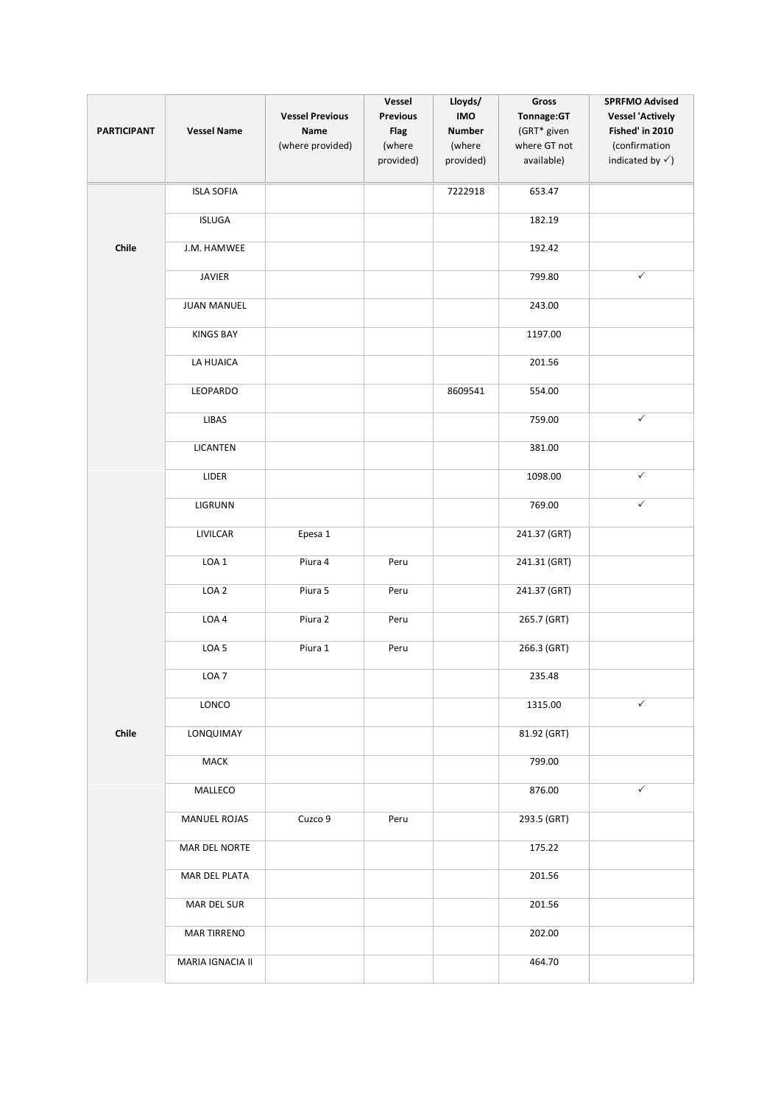| <b>PARTICIPANT</b> | <b>Vessel Name</b>  | <b>Vessel Previous</b><br><b>Name</b><br>(where provided) | Vessel<br>Previous<br><b>Flag</b><br>(where<br>provided) | Lloyds/<br><b>IMO</b><br><b>Number</b><br>(where<br>provided) | Gross<br>Tonnage:GT<br>(GRT* given<br>where GT not<br>available) | <b>SPRFMO Advised</b><br><b>Vessel 'Actively</b><br>Fished' in 2010<br>(confirmation<br>indicated by $\checkmark$ ) |
|--------------------|---------------------|-----------------------------------------------------------|----------------------------------------------------------|---------------------------------------------------------------|------------------------------------------------------------------|---------------------------------------------------------------------------------------------------------------------|
|                    | <b>ISLA SOFIA</b>   |                                                           |                                                          | 7222918                                                       | 653.47                                                           |                                                                                                                     |
|                    | <b>ISLUGA</b>       |                                                           |                                                          |                                                               | 182.19                                                           |                                                                                                                     |
| Chile              | J.M. HAMWEE         |                                                           |                                                          |                                                               | 192.42                                                           |                                                                                                                     |
|                    | JAVIER              |                                                           |                                                          |                                                               | 799.80                                                           | $\checkmark$                                                                                                        |
|                    | <b>JUAN MANUEL</b>  |                                                           |                                                          |                                                               | 243.00                                                           |                                                                                                                     |
|                    | <b>KINGS BAY</b>    |                                                           |                                                          |                                                               | 1197.00                                                          |                                                                                                                     |
|                    | LA HUAICA           |                                                           |                                                          |                                                               | 201.56                                                           |                                                                                                                     |
|                    | LEOPARDO            |                                                           |                                                          | 8609541                                                       | 554.00                                                           |                                                                                                                     |
|                    | LIBAS               |                                                           |                                                          |                                                               | 759.00                                                           | $\checkmark$                                                                                                        |
|                    | LICANTEN            |                                                           |                                                          |                                                               | 381.00                                                           |                                                                                                                     |
|                    | LIDER               |                                                           |                                                          |                                                               | 1098.00                                                          | $\checkmark$                                                                                                        |
|                    | LIGRUNN             |                                                           |                                                          |                                                               | 769.00                                                           | $\checkmark$                                                                                                        |
|                    | LIVILCAR            | Epesa 1                                                   |                                                          |                                                               | 241.37 (GRT)                                                     |                                                                                                                     |
|                    | LOA <sub>1</sub>    | Piura 4                                                   | Peru                                                     |                                                               | 241.31 (GRT)                                                     |                                                                                                                     |
|                    | LOA <sub>2</sub>    | Piura 5                                                   | Peru                                                     |                                                               | 241.37 (GRT)                                                     |                                                                                                                     |
|                    | LOA4                | Piura 2                                                   | Peru                                                     |                                                               | 265.7 (GRT)                                                      |                                                                                                                     |
|                    | LOA <sub>5</sub>    | Piura 1                                                   | Peru                                                     |                                                               | 266.3 (GRT)                                                      |                                                                                                                     |
|                    | LOA <sub>7</sub>    |                                                           |                                                          |                                                               | 235.48                                                           |                                                                                                                     |
|                    | LONCO               |                                                           |                                                          |                                                               | 1315.00                                                          | ✓                                                                                                                   |
| Chile              | LONQUIMAY           |                                                           |                                                          |                                                               | 81.92 (GRT)                                                      |                                                                                                                     |
|                    | MACK                |                                                           |                                                          |                                                               | 799.00                                                           |                                                                                                                     |
|                    | MALLECO             |                                                           |                                                          |                                                               | 876.00                                                           | $\checkmark$                                                                                                        |
|                    | <b>MANUEL ROJAS</b> | Cuzco 9                                                   | Peru                                                     |                                                               | 293.5 (GRT)                                                      |                                                                                                                     |
|                    | MAR DEL NORTE       |                                                           |                                                          |                                                               | 175.22                                                           |                                                                                                                     |
|                    | MAR DEL PLATA       |                                                           |                                                          |                                                               | 201.56                                                           |                                                                                                                     |
|                    | MAR DEL SUR         |                                                           |                                                          |                                                               | 201.56                                                           |                                                                                                                     |
|                    | <b>MAR TIRRENO</b>  |                                                           |                                                          |                                                               | 202.00                                                           |                                                                                                                     |
|                    | MARIA IGNACIA II    |                                                           |                                                          |                                                               | 464.70                                                           |                                                                                                                     |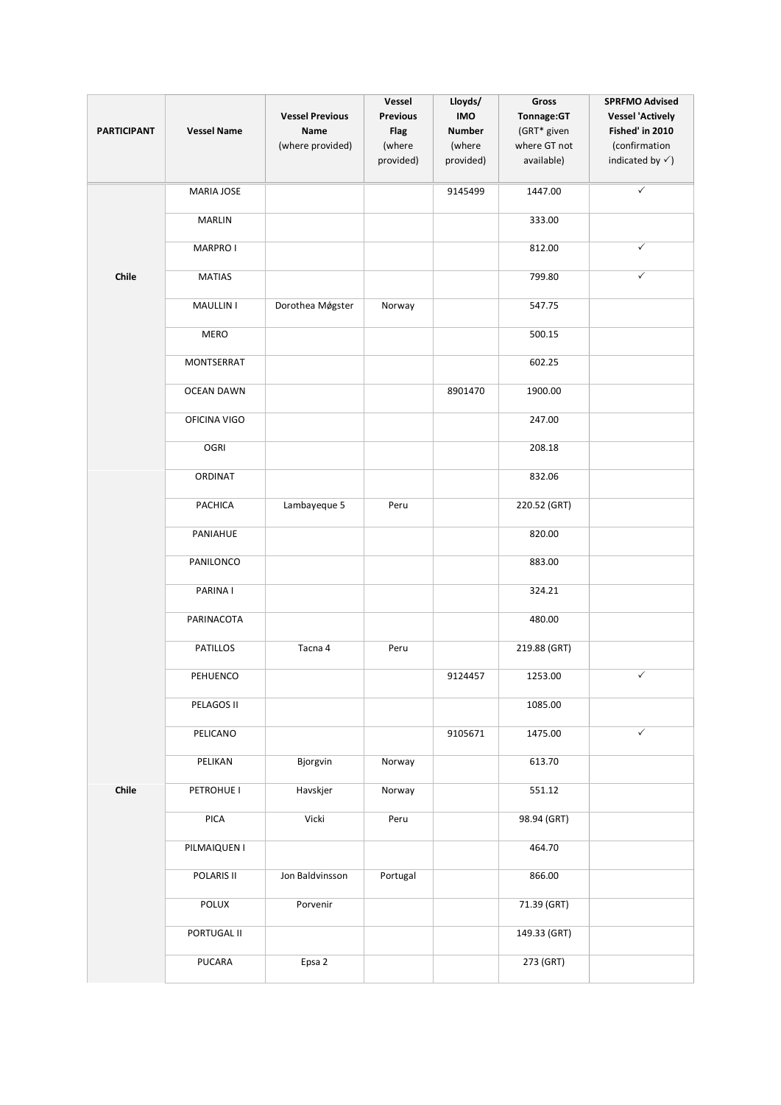|                    |                    | <b>Vessel Previous</b> | Vessel<br><b>Previous</b> | Lloyds/<br><b>IMO</b> | Gross<br>Tonnage:GT | <b>SPRFMO Advised</b><br><b>Vessel 'Actively</b> |
|--------------------|--------------------|------------------------|---------------------------|-----------------------|---------------------|--------------------------------------------------|
| <b>PARTICIPANT</b> | <b>Vessel Name</b> | Name                   | <b>Flag</b>               | <b>Number</b>         | (GRT* given         | Fished' in 2010                                  |
|                    |                    | (where provided)       | (where                    | (where                | where GT not        | (confirmation                                    |
|                    |                    |                        | provided)                 | provided)             | available)          | indicated by $\checkmark$ )                      |
|                    | MARIA JOSE         |                        |                           | 9145499               | 1447.00             | ✓                                                |
|                    | <b>MARLIN</b>      |                        |                           |                       | 333.00              |                                                  |
|                    | <b>MARPRO I</b>    |                        |                           |                       | 812.00              | $\checkmark$                                     |
| Chile              | <b>MATIAS</b>      |                        |                           |                       | 799.80              | ✓                                                |
|                    | <b>MAULLIN I</b>   | Dorothea Møgster       | Norway                    |                       | 547.75              |                                                  |
|                    | <b>MERO</b>        |                        |                           |                       | 500.15              |                                                  |
|                    | <b>MONTSERRAT</b>  |                        |                           |                       | 602.25              |                                                  |
|                    | <b>OCEAN DAWN</b>  |                        |                           | 8901470               | 1900.00             |                                                  |
|                    | OFICINA VIGO       |                        |                           |                       | 247.00              |                                                  |
|                    | OGRI               |                        |                           |                       | 208.18              |                                                  |
|                    | ORDINAT            |                        |                           |                       | 832.06              |                                                  |
|                    | PACHICA            | Lambayeque 5           | Peru                      |                       | 220.52 (GRT)        |                                                  |
|                    | PANIAHUE           |                        |                           |                       | 820.00              |                                                  |
|                    | PANILONCO          |                        |                           |                       | 883.00              |                                                  |
|                    | PARINA I           |                        |                           |                       | 324.21              |                                                  |
|                    | PARINACOTA         |                        |                           |                       | 480.00              |                                                  |
|                    | PATILLOS           | Tacna 4                | Peru                      |                       | 219.88 (GRT)        |                                                  |
|                    | PEHUENCO           |                        |                           | 9124457               | 1253.00             | $\checkmark$                                     |
|                    | PELAGOS II         |                        |                           |                       | 1085.00             |                                                  |
|                    | PELICANO           |                        |                           | 9105671               | 1475.00             | $\checkmark$                                     |
|                    | PELIKAN            | Bjorgvin               | Norway                    |                       | 613.70              |                                                  |
| Chile              | PETROHUE I         | Havskjer               | Norway                    |                       | 551.12              |                                                  |
|                    | PICA               | Vicki                  | Peru                      |                       | 98.94 (GRT)         |                                                  |
|                    | PILMAIQUEN I       |                        |                           |                       | 464.70              |                                                  |
|                    | POLARIS II         | Jon Baldvinsson        | Portugal                  |                       | 866.00              |                                                  |
|                    | POLUX              | Porvenir               |                           |                       | 71.39 (GRT)         |                                                  |
|                    | PORTUGAL II        |                        |                           |                       | 149.33 (GRT)        |                                                  |
|                    | PUCARA             | Epsa 2                 |                           |                       | 273 (GRT)           |                                                  |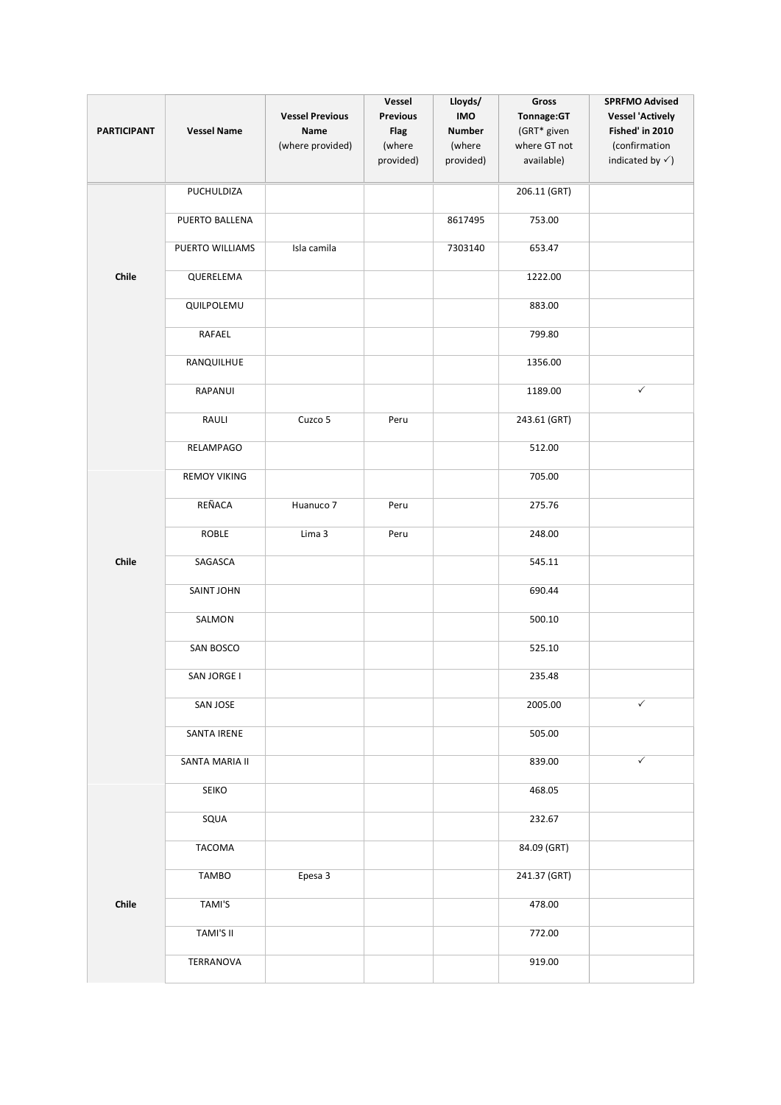|                    |                     | <b>Vessel Previous</b> | Vessel<br><b>Previous</b> | Lloyds/<br><b>IMO</b> | Gross                     | <b>SPRFMO Advised</b>                      |
|--------------------|---------------------|------------------------|---------------------------|-----------------------|---------------------------|--------------------------------------------|
| <b>PARTICIPANT</b> | <b>Vessel Name</b>  | Name                   | <b>Flag</b>               | <b>Number</b>         | Tonnage:GT<br>(GRT* given | <b>Vessel 'Actively</b><br>Fished' in 2010 |
|                    |                     | (where provided)       | (where                    | (where                | where GT not              | (confirmation                              |
|                    |                     |                        | provided)                 | provided)             | available)                | indicated by $\checkmark$ )                |
|                    | PUCHULDIZA          |                        |                           |                       | 206.11 (GRT)              |                                            |
|                    | PUERTO BALLENA      |                        |                           | 8617495               | 753.00                    |                                            |
|                    | PUERTO WILLIAMS     | Isla camila            |                           | 7303140               | 653.47                    |                                            |
| Chile              | QUERELEMA           |                        |                           |                       | 1222.00                   |                                            |
|                    |                     |                        |                           |                       |                           |                                            |
|                    | QUILPOLEMU          |                        |                           |                       | 883.00                    |                                            |
|                    | RAFAEL              |                        |                           |                       | 799.80                    |                                            |
|                    | RANQUILHUE          |                        |                           |                       | 1356.00                   |                                            |
|                    | RAPANUI             |                        |                           |                       | 1189.00                   | $\checkmark$                               |
|                    | RAULI               | Cuzco 5                | Peru                      |                       | 243.61 (GRT)              |                                            |
|                    | RELAMPAGO           |                        |                           |                       | 512.00                    |                                            |
|                    | <b>REMOY VIKING</b> |                        |                           |                       | 705.00                    |                                            |
|                    | REÑACA              | Huanuco 7              | Peru                      |                       | 275.76                    |                                            |
|                    | ROBLE               | Lima 3                 | Peru                      |                       | 248.00                    |                                            |
| Chile              | SAGASCA             |                        |                           |                       | 545.11                    |                                            |
|                    | <b>SAINT JOHN</b>   |                        |                           |                       | 690.44                    |                                            |
|                    | SALMON              |                        |                           |                       | 500.10                    |                                            |
|                    | SAN BOSCO           |                        |                           |                       | 525.10                    |                                            |
|                    | SAN JORGE I         |                        |                           |                       | 235.48                    |                                            |
|                    | SAN JOSE            |                        |                           |                       | 2005.00                   | $\checkmark$                               |
|                    | SANTA IRENE         |                        |                           |                       | 505.00                    |                                            |
|                    | SANTA MARIA II      |                        |                           |                       | 839.00                    | $\checkmark$                               |
|                    | <b>SEIKO</b>        |                        |                           |                       | 468.05                    |                                            |
|                    | SQUA                |                        |                           |                       | 232.67                    |                                            |
|                    | TACOMA              |                        |                           |                       | 84.09 (GRT)               |                                            |
|                    | <b>TAMBO</b>        | Epesa 3                |                           |                       | 241.37 (GRT)              |                                            |
| Chile              | TAMI'S              |                        |                           |                       | 478.00                    |                                            |
|                    | TAMI'S II           |                        |                           |                       | 772.00                    |                                            |
|                    | TERRANOVA           |                        |                           |                       | 919.00                    |                                            |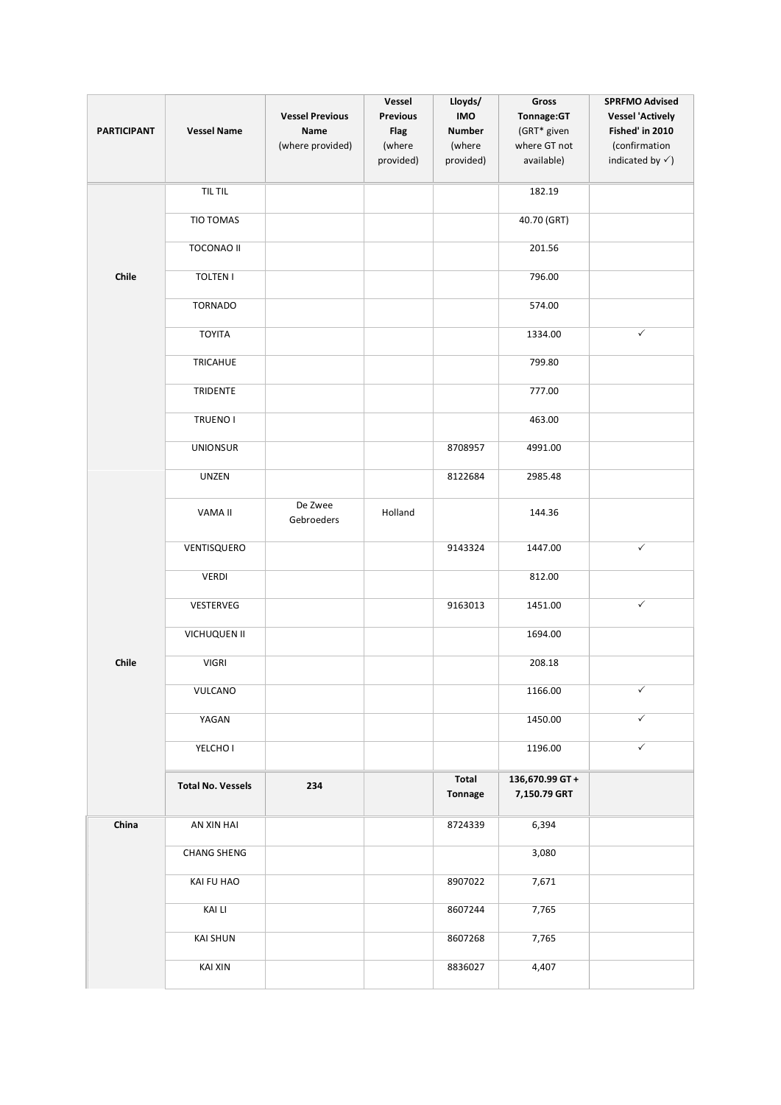| <b>PARTICIPANT</b> | <b>Vessel Name</b>       | <b>Vessel Previous</b><br>Name<br>(where provided) | Vessel<br><b>Previous</b><br><b>Flag</b><br>(where<br>provided) | Lloyds/<br>IMO<br><b>Number</b><br>(where<br>provided) | Gross<br>Tonnage:GT<br>(GRT* given<br>where GT not<br>available) | <b>SPRFMO Advised</b><br><b>Vessel 'Actively</b><br>Fished' in 2010<br>(confirmation<br>indicated by $\checkmark$ ) |
|--------------------|--------------------------|----------------------------------------------------|-----------------------------------------------------------------|--------------------------------------------------------|------------------------------------------------------------------|---------------------------------------------------------------------------------------------------------------------|
|                    | TIL TIL                  |                                                    |                                                                 |                                                        | 182.19                                                           |                                                                                                                     |
|                    | TIO TOMAS                |                                                    |                                                                 |                                                        | 40.70 (GRT)                                                      |                                                                                                                     |
|                    | <b>TOCONAO II</b>        |                                                    |                                                                 |                                                        | 201.56                                                           |                                                                                                                     |
| Chile              | <b>TOLTEN I</b>          |                                                    |                                                                 |                                                        | 796.00                                                           |                                                                                                                     |
|                    | <b>TORNADO</b>           |                                                    |                                                                 |                                                        | 574.00                                                           |                                                                                                                     |
|                    | <b>TOYITA</b>            |                                                    |                                                                 |                                                        | 1334.00                                                          | $\checkmark$                                                                                                        |
|                    | TRICAHUE                 |                                                    |                                                                 |                                                        | 799.80                                                           |                                                                                                                     |
|                    | TRIDENTE                 |                                                    |                                                                 |                                                        | 777.00                                                           |                                                                                                                     |
|                    | TRUENO I                 |                                                    |                                                                 |                                                        | 463.00                                                           |                                                                                                                     |
|                    | <b>UNIONSUR</b>          |                                                    |                                                                 | 8708957                                                | 4991.00                                                          |                                                                                                                     |
|                    | UNZEN                    |                                                    |                                                                 | 8122684                                                | 2985.48                                                          |                                                                                                                     |
|                    | VAMA II                  | De Zwee<br>Gebroeders                              | Holland                                                         |                                                        | 144.36                                                           |                                                                                                                     |
|                    | VENTISQUERO              |                                                    |                                                                 | 9143324                                                | 1447.00                                                          | $\checkmark$                                                                                                        |
|                    | <b>VERDI</b>             |                                                    |                                                                 |                                                        | 812.00                                                           |                                                                                                                     |
|                    | VESTERVEG                |                                                    |                                                                 | 9163013                                                | 1451.00                                                          | $\checkmark$                                                                                                        |
|                    | VICHUQUEN II             |                                                    |                                                                 |                                                        | 1694.00                                                          |                                                                                                                     |
| Chile              | <b>VIGRI</b>             |                                                    |                                                                 |                                                        | 208.18                                                           |                                                                                                                     |
|                    | VULCANO                  |                                                    |                                                                 |                                                        | 1166.00                                                          | $\checkmark$                                                                                                        |
|                    | YAGAN                    |                                                    |                                                                 |                                                        | 1450.00                                                          | $\checkmark$                                                                                                        |
|                    | YELCHO I                 |                                                    |                                                                 |                                                        | 1196.00                                                          | $\checkmark$                                                                                                        |
|                    | <b>Total No. Vessels</b> | 234                                                |                                                                 | Total<br><b>Tonnage</b>                                | 136,670.99 GT+<br>7,150.79 GRT                                   |                                                                                                                     |
| China              | AN XIN HAI               |                                                    |                                                                 | 8724339                                                | 6,394                                                            |                                                                                                                     |
|                    | <b>CHANG SHENG</b>       |                                                    |                                                                 |                                                        | 3,080                                                            |                                                                                                                     |
|                    | KAI FU HAO               |                                                    |                                                                 | 8907022                                                | 7,671                                                            |                                                                                                                     |
|                    | <b>KAI LI</b>            |                                                    |                                                                 | 8607244                                                | 7,765                                                            |                                                                                                                     |
|                    | <b>KAI SHUN</b>          |                                                    |                                                                 | 8607268                                                | 7,765                                                            |                                                                                                                     |
|                    | KAI XIN                  |                                                    |                                                                 | 8836027                                                | 4,407                                                            |                                                                                                                     |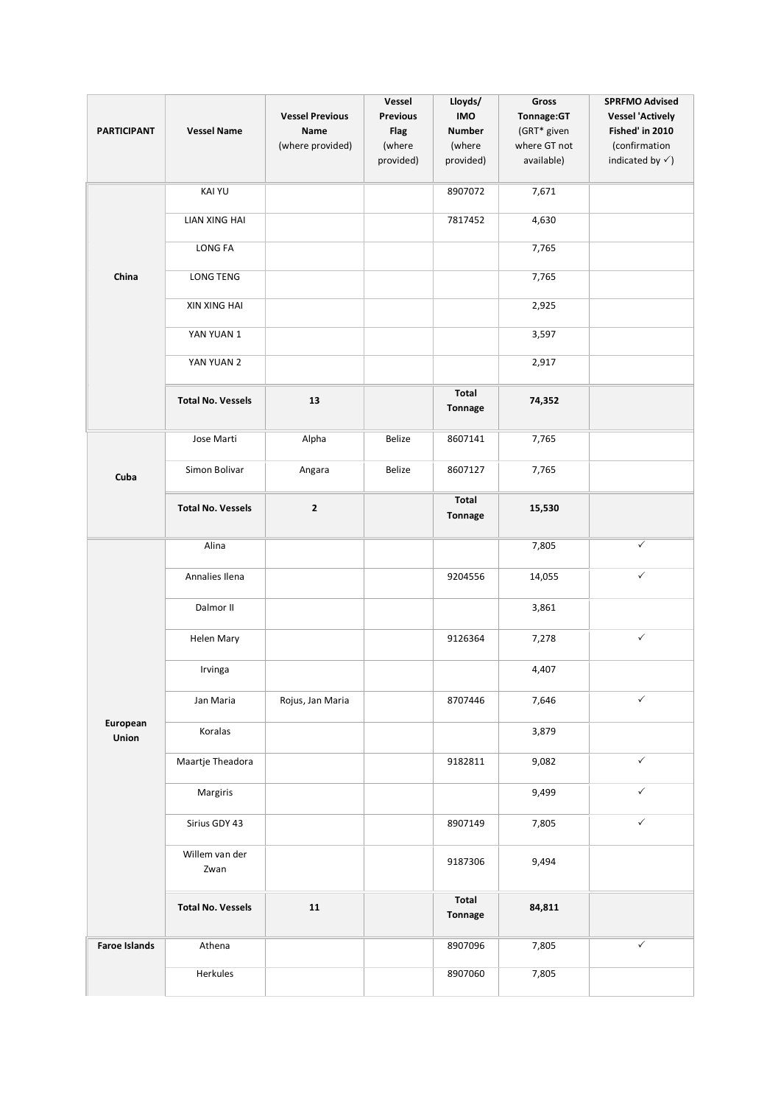| <b>PARTICIPANT</b>   | <b>Vessel Name</b>       | <b>Vessel Previous</b><br>Name<br>(where provided) | Vessel<br><b>Previous</b><br><b>Flag</b><br>(where<br>provided) | Lloyds/<br>IMO<br><b>Number</b><br>(where<br>provided) | Gross<br>Tonnage:GT<br>(GRT* given<br>where GT not<br>available) | <b>SPRFMO Advised</b><br><b>Vessel 'Actively</b><br>Fished' in 2010<br>(confirmation<br>indicated by $\checkmark$ ) |
|----------------------|--------------------------|----------------------------------------------------|-----------------------------------------------------------------|--------------------------------------------------------|------------------------------------------------------------------|---------------------------------------------------------------------------------------------------------------------|
|                      | <b>KAI YU</b>            |                                                    |                                                                 | 8907072                                                | 7,671                                                            |                                                                                                                     |
|                      | LIAN XING HAI            |                                                    |                                                                 | 7817452                                                | 4,630                                                            |                                                                                                                     |
|                      | LONG FA                  |                                                    |                                                                 |                                                        | 7,765                                                            |                                                                                                                     |
| China                | <b>LONG TENG</b>         |                                                    |                                                                 |                                                        | 7,765                                                            |                                                                                                                     |
|                      | XIN XING HAI             |                                                    |                                                                 |                                                        | 2,925                                                            |                                                                                                                     |
|                      | YAN YUAN 1               |                                                    |                                                                 |                                                        | 3,597                                                            |                                                                                                                     |
|                      | YAN YUAN 2               |                                                    |                                                                 |                                                        | 2,917                                                            |                                                                                                                     |
|                      | <b>Total No. Vessels</b> | 13                                                 |                                                                 | Total<br><b>Tonnage</b>                                | 74,352                                                           |                                                                                                                     |
| Cuba                 | Jose Marti               | Alpha                                              | Belize                                                          | 8607141                                                | 7,765                                                            |                                                                                                                     |
|                      | Simon Bolivar            | Angara                                             | Belize                                                          | 8607127                                                | 7,765                                                            |                                                                                                                     |
|                      | <b>Total No. Vessels</b> | $\mathbf{2}$                                       |                                                                 | Total<br><b>Tonnage</b>                                | 15,530                                                           |                                                                                                                     |
|                      | Alina                    |                                                    |                                                                 |                                                        | 7,805                                                            | $\checkmark$                                                                                                        |
|                      | Annalies Ilena           |                                                    |                                                                 | 9204556                                                | 14,055                                                           | $\checkmark$                                                                                                        |
|                      | Dalmor II                |                                                    |                                                                 |                                                        | 3,861                                                            |                                                                                                                     |
|                      | Helen Mary               |                                                    |                                                                 | 9126364                                                | 7,278                                                            | $\checkmark$                                                                                                        |
|                      | Irvinga                  |                                                    |                                                                 |                                                        | 4,407                                                            |                                                                                                                     |
|                      | Jan Maria                | Rojus, Jan Maria                                   |                                                                 | 8707446                                                | 7,646                                                            | ✓                                                                                                                   |
| European<br>Union    | Koralas                  |                                                    |                                                                 |                                                        | 3,879                                                            |                                                                                                                     |
|                      | Maartje Theadora         |                                                    |                                                                 | 9182811                                                | 9,082                                                            | $\checkmark$                                                                                                        |
|                      | Margiris                 |                                                    |                                                                 |                                                        | 9,499                                                            | $\checkmark$                                                                                                        |
|                      | Sirius GDY 43            |                                                    |                                                                 | 8907149                                                | 7,805                                                            | $\checkmark$                                                                                                        |
|                      | Willem van der<br>Zwan   |                                                    |                                                                 | 9187306                                                | 9,494                                                            |                                                                                                                     |
|                      | <b>Total No. Vessels</b> | 11                                                 |                                                                 | Total<br><b>Tonnage</b>                                | 84,811                                                           |                                                                                                                     |
| <b>Faroe Islands</b> | Athena                   |                                                    |                                                                 | 8907096                                                | 7,805                                                            | ✓                                                                                                                   |
|                      | Herkules                 |                                                    |                                                                 | 8907060                                                | 7,805                                                            |                                                                                                                     |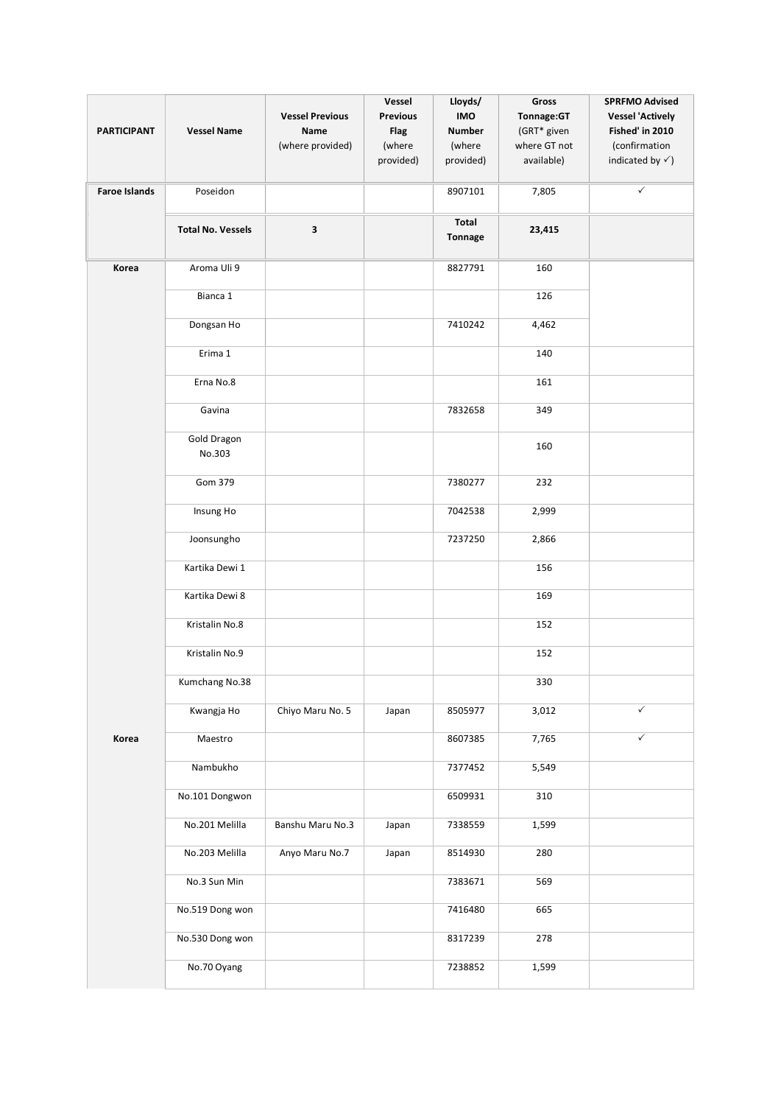|                      |                              |                        | Vessel          | Lloyds/                 | Gross                       | <b>SPRFMO Advised</b>            |
|----------------------|------------------------------|------------------------|-----------------|-------------------------|-----------------------------|----------------------------------|
|                      |                              | <b>Vessel Previous</b> | <b>Previous</b> | <b>IMO</b>              | Tonnage:GT                  | <b>Vessel 'Actively</b>          |
| <b>PARTICIPANT</b>   | <b>Vessel Name</b>           | Name                   | Flag<br>(where  | <b>Number</b><br>(where | (GRT* given<br>where GT not | Fished' in 2010<br>(confirmation |
|                      |                              | (where provided)       | provided)       | provided)               | available)                  | indicated by $\checkmark$ )      |
|                      |                              |                        |                 |                         |                             |                                  |
| <b>Faroe Islands</b> | Poseidon                     |                        |                 | 8907101                 | 7,805                       | $\checkmark$                     |
|                      | <b>Total No. Vessels</b>     | 3                      |                 | Total                   | 23,415                      |                                  |
|                      |                              |                        |                 | <b>Tonnage</b>          |                             |                                  |
| Korea                | Aroma Uli 9                  |                        |                 | 8827791                 | 160                         |                                  |
|                      | Bianca 1                     |                        |                 |                         | 126                         |                                  |
|                      | Dongsan Ho                   |                        |                 | 7410242                 | 4,462                       |                                  |
|                      | Erima 1                      |                        |                 |                         | 140                         |                                  |
|                      | Erna No.8                    |                        |                 |                         | 161                         |                                  |
|                      | Gavina                       |                        |                 | 7832658                 | 349                         |                                  |
|                      | <b>Gold Dragon</b><br>No.303 |                        |                 |                         | 160                         |                                  |
|                      | Gom 379                      |                        |                 | 7380277                 | 232                         |                                  |
|                      | Insung Ho                    |                        |                 | 7042538                 | 2,999                       |                                  |
|                      | Joonsungho                   |                        |                 | 7237250                 | 2,866                       |                                  |
|                      | Kartika Dewi 1               |                        |                 |                         | 156                         |                                  |
|                      | Kartika Dewi 8               |                        |                 |                         | 169                         |                                  |
|                      | Kristalin No.8               |                        |                 |                         | 152                         |                                  |
|                      | Kristalin No.9               |                        |                 |                         | 152                         |                                  |
|                      | Kumchang No.38               |                        |                 |                         | 330                         |                                  |
|                      | Kwangja Ho                   | Chiyo Maru No. 5       | Japan           | 8505977                 | 3,012                       | ✓                                |
| Korea                | Maestro                      |                        |                 | 8607385                 | 7,765                       | $\checkmark$                     |
|                      | Nambukho                     |                        |                 | 7377452                 | 5,549                       |                                  |
|                      | No.101 Dongwon               |                        |                 | 6509931                 | 310                         |                                  |
|                      | No.201 Melilla               | Banshu Maru No.3       | Japan           | 7338559                 | 1,599                       |                                  |
|                      | No.203 Melilla               | Anyo Maru No.7         | Japan           | 8514930                 | 280                         |                                  |
|                      | No.3 Sun Min                 |                        |                 | 7383671                 | 569                         |                                  |
|                      | No.519 Dong won              |                        |                 | 7416480                 | 665                         |                                  |
|                      | No.530 Dong won              |                        |                 | 8317239                 | 278                         |                                  |
|                      | No.70 Oyang                  |                        |                 | 7238852                 | 1,599                       |                                  |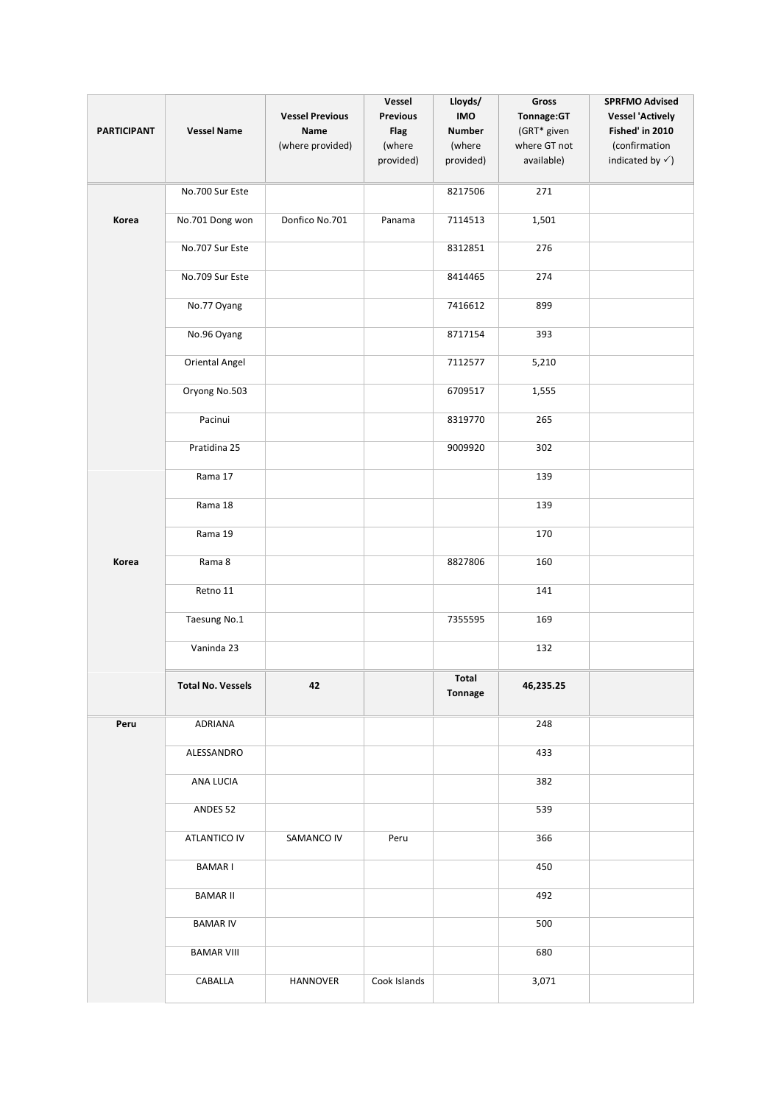| <b>PARTICIPANT</b> | <b>Vessel Name</b>       | <b>Vessel Previous</b><br>Name<br>(where provided) | Vessel<br><b>Previous</b><br><b>Flag</b><br>(where<br>provided) | Lloyds/<br>IMO<br><b>Number</b><br>(where<br>provided) | Gross<br>Tonnage:GT<br>(GRT* given<br>where GT not<br>available) | <b>SPRFMO Advised</b><br><b>Vessel 'Actively</b><br>Fished' in 2010<br>(confirmation<br>indicated by $\checkmark$ ) |
|--------------------|--------------------------|----------------------------------------------------|-----------------------------------------------------------------|--------------------------------------------------------|------------------------------------------------------------------|---------------------------------------------------------------------------------------------------------------------|
|                    | No.700 Sur Este          |                                                    |                                                                 | 8217506                                                | 271                                                              |                                                                                                                     |
| Korea              | No.701 Dong won          | Donfico No.701                                     | Panama                                                          | 7114513                                                | 1,501                                                            |                                                                                                                     |
|                    | No.707 Sur Este          |                                                    |                                                                 | 8312851                                                | 276                                                              |                                                                                                                     |
|                    | No.709 Sur Este          |                                                    |                                                                 | 8414465                                                | 274                                                              |                                                                                                                     |
|                    | No.77 Oyang              |                                                    |                                                                 | 7416612                                                | 899                                                              |                                                                                                                     |
|                    | No.96 Oyang              |                                                    |                                                                 | 8717154                                                | 393                                                              |                                                                                                                     |
|                    | Oriental Angel           |                                                    |                                                                 | 7112577                                                | 5,210                                                            |                                                                                                                     |
|                    | Oryong No.503            |                                                    |                                                                 | 6709517                                                | 1,555                                                            |                                                                                                                     |
|                    | Pacinui                  |                                                    |                                                                 | 8319770                                                | 265                                                              |                                                                                                                     |
|                    | Pratidina 25             |                                                    |                                                                 | 9009920                                                | 302                                                              |                                                                                                                     |
|                    | Rama 17                  |                                                    |                                                                 |                                                        | 139                                                              |                                                                                                                     |
|                    | Rama 18                  |                                                    |                                                                 |                                                        | 139                                                              |                                                                                                                     |
|                    | Rama 19                  |                                                    |                                                                 |                                                        | 170                                                              |                                                                                                                     |
| Korea              | Rama 8                   |                                                    |                                                                 | 8827806                                                | 160                                                              |                                                                                                                     |
|                    | Retno 11                 |                                                    |                                                                 |                                                        | 141                                                              |                                                                                                                     |
|                    | Taesung No.1             |                                                    |                                                                 | 7355595                                                | 169                                                              |                                                                                                                     |
|                    | Vaninda 23               |                                                    |                                                                 |                                                        | 132                                                              |                                                                                                                     |
|                    | <b>Total No. Vessels</b> | 42                                                 |                                                                 | Total<br>Tonnage                                       | 46,235.25                                                        |                                                                                                                     |
| Peru               | ADRIANA                  |                                                    |                                                                 |                                                        | 248                                                              |                                                                                                                     |
|                    | ALESSANDRO               |                                                    |                                                                 |                                                        | 433                                                              |                                                                                                                     |
|                    | ANA LUCIA                |                                                    |                                                                 |                                                        | 382                                                              |                                                                                                                     |
|                    | ANDES 52                 |                                                    |                                                                 |                                                        | 539                                                              |                                                                                                                     |
|                    | <b>ATLANTICO IV</b>      | SAMANCO IV                                         | Peru                                                            |                                                        | 366                                                              |                                                                                                                     |
|                    | <b>BAMARI</b>            |                                                    |                                                                 |                                                        | 450                                                              |                                                                                                                     |
|                    | <b>BAMAR II</b>          |                                                    |                                                                 |                                                        | 492                                                              |                                                                                                                     |
|                    | <b>BAMAR IV</b>          |                                                    |                                                                 |                                                        | 500                                                              |                                                                                                                     |
|                    | <b>BAMAR VIII</b>        |                                                    |                                                                 |                                                        | 680                                                              |                                                                                                                     |
|                    | CABALLA                  | HANNOVER                                           | Cook Islands                                                    |                                                        | 3,071                                                            |                                                                                                                     |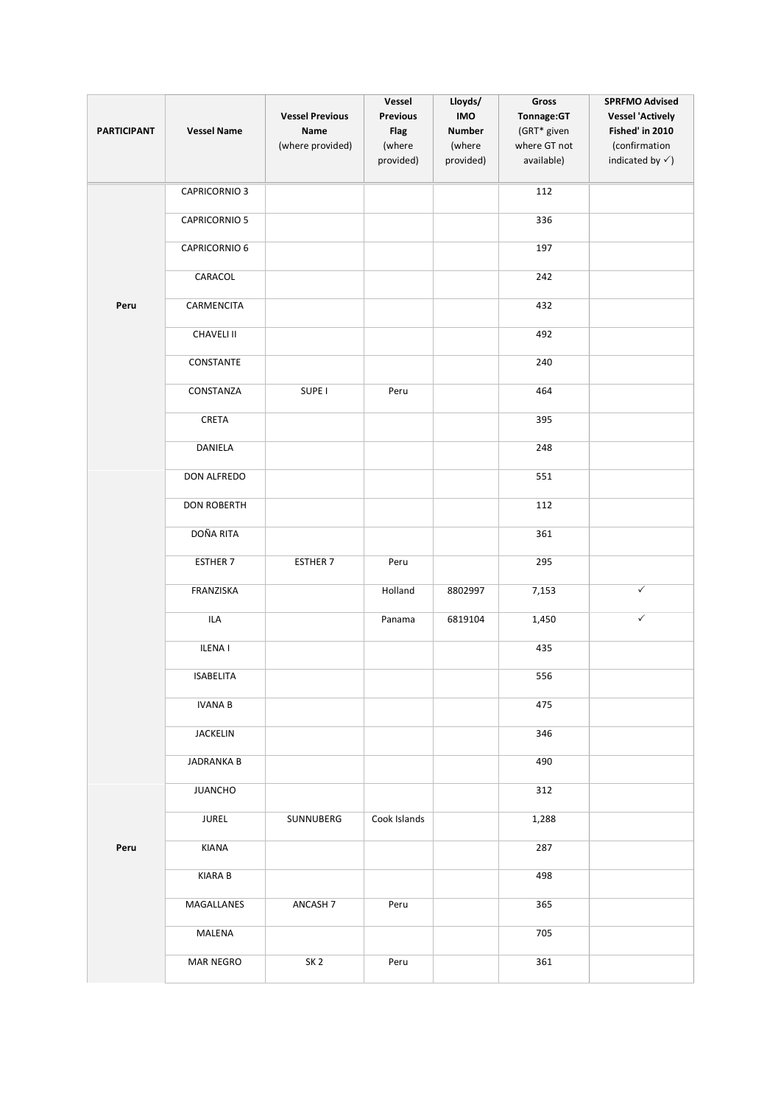|                    |                      | <b>Vessel Previous</b> | Vessel<br><b>Previous</b> | Lloyds/<br>IMO | Gross<br>Tonnage:GT | <b>SPRFMO Advised</b><br><b>Vessel 'Actively</b> |
|--------------------|----------------------|------------------------|---------------------------|----------------|---------------------|--------------------------------------------------|
| <b>PARTICIPANT</b> | <b>Vessel Name</b>   | Name                   | <b>Flag</b>               | <b>Number</b>  | (GRT* given         | Fished' in 2010                                  |
|                    |                      | (where provided)       | (where                    | (where         | where GT not        | (confirmation                                    |
|                    |                      |                        | provided)                 | provided)      | available)          | indicated by $\checkmark$ )                      |
|                    | <b>CAPRICORNIO 3</b> |                        |                           |                | 112                 |                                                  |
|                    | <b>CAPRICORNIO 5</b> |                        |                           |                | 336                 |                                                  |
|                    | CAPRICORNIO 6        |                        |                           |                | 197                 |                                                  |
|                    | CARACOL              |                        |                           |                | 242                 |                                                  |
| Peru               | CARMENCITA           |                        |                           |                | 432                 |                                                  |
|                    | <b>CHAVELI II</b>    |                        |                           |                | 492                 |                                                  |
|                    | CONSTANTE            |                        |                           |                | 240                 |                                                  |
|                    | CONSTANZA            | SUPE <sub>I</sub>      | Peru                      |                | 464                 |                                                  |
|                    | CRETA                |                        |                           |                | 395                 |                                                  |
|                    | DANIELA              |                        |                           |                | 248                 |                                                  |
|                    | DON ALFREDO          |                        |                           |                | 551                 |                                                  |
|                    | <b>DON ROBERTH</b>   |                        |                           |                | 112                 |                                                  |
|                    | DOÑA RITA            |                        |                           |                | 361                 |                                                  |
|                    | ESTHER 7             | ESTHER 7               | Peru                      |                | 295                 |                                                  |
|                    | FRANZISKA            |                        | Holland                   | 8802997        | 7,153               | $\checkmark$                                     |
|                    | ILA                  |                        | Panama                    | 6819104        | 1,450               | $\checkmark$                                     |
|                    | <b>ILENAI</b>        |                        |                           |                | 435                 |                                                  |
|                    | <b>ISABELITA</b>     |                        |                           |                | 556                 |                                                  |
|                    | <b>IVANA B</b>       |                        |                           |                | 475                 |                                                  |
|                    | <b>JACKELIN</b>      |                        |                           |                | 346                 |                                                  |
|                    | JADRANKA B           |                        |                           |                | 490                 |                                                  |
|                    | <b>JUANCHO</b>       |                        |                           |                | 312                 |                                                  |
|                    | <b>JUREL</b>         | SUNNUBERG              | Cook Islands              |                | 1,288               |                                                  |
| Peru               | KIANA                |                        |                           |                | 287                 |                                                  |
|                    | <b>KIARA B</b>       |                        |                           |                | 498                 |                                                  |
|                    | MAGALLANES           | ANCASH 7               | Peru                      |                | 365                 |                                                  |
|                    | MALENA               |                        |                           |                | 705                 |                                                  |
|                    | <b>MAR NEGRO</b>     | SK <sub>2</sub>        | Peru                      |                | 361                 |                                                  |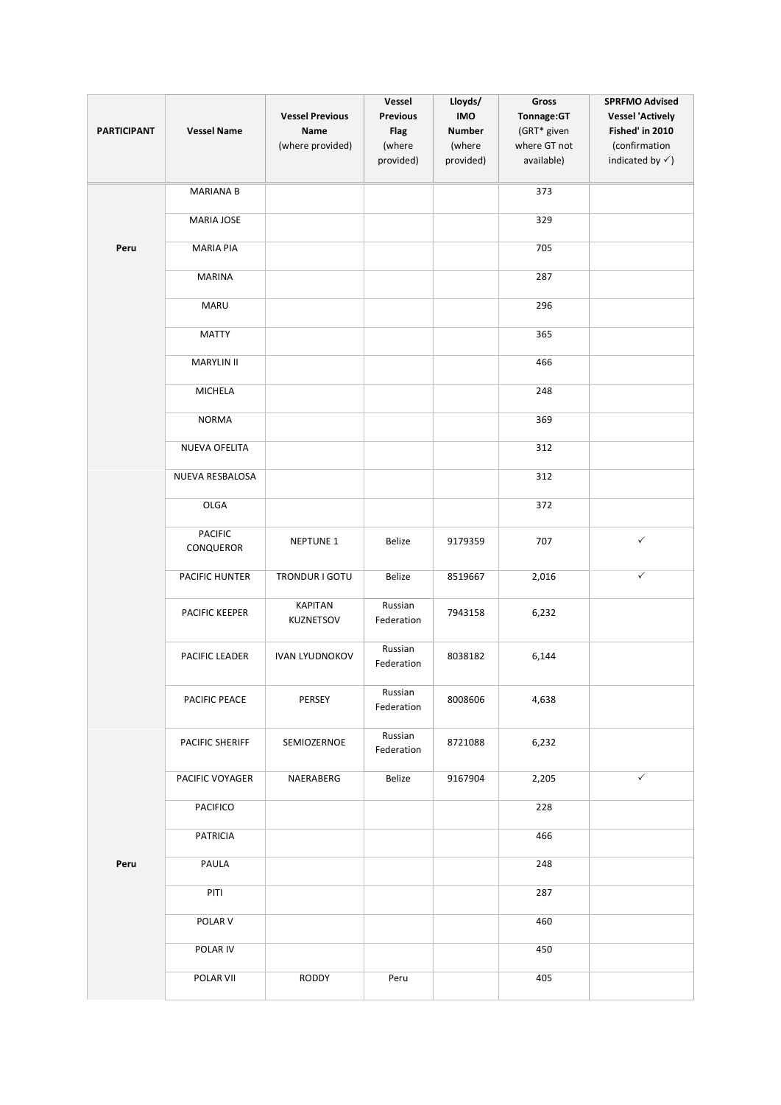| <b>PARTICIPANT</b> | <b>Vessel Name</b>          | <b>Vessel Previous</b><br>Name<br>(where provided) | Vessel<br><b>Previous</b><br><b>Flag</b><br>(where<br>provided) | Lloyds/<br><b>IMO</b><br><b>Number</b><br>(where<br>provided) | Gross<br>Tonnage:GT<br>(GRT* given<br>where GT not<br>available) | <b>SPRFMO Advised</b><br><b>Vessel 'Actively</b><br>Fished' in 2010<br>(confirmation<br>indicated by $\checkmark$ ) |
|--------------------|-----------------------------|----------------------------------------------------|-----------------------------------------------------------------|---------------------------------------------------------------|------------------------------------------------------------------|---------------------------------------------------------------------------------------------------------------------|
|                    | <b>MARIANA B</b>            |                                                    |                                                                 |                                                               | 373                                                              |                                                                                                                     |
|                    | <b>MARIA JOSE</b>           |                                                    |                                                                 |                                                               | 329                                                              |                                                                                                                     |
| Peru               | <b>MARIA PIA</b>            |                                                    |                                                                 |                                                               | 705                                                              |                                                                                                                     |
|                    | <b>MARINA</b>               |                                                    |                                                                 |                                                               | 287                                                              |                                                                                                                     |
|                    | <b>MARU</b>                 |                                                    |                                                                 |                                                               | 296                                                              |                                                                                                                     |
|                    | <b>MATTY</b>                |                                                    |                                                                 |                                                               | 365                                                              |                                                                                                                     |
|                    | <b>MARYLIN II</b>           |                                                    |                                                                 |                                                               | 466                                                              |                                                                                                                     |
|                    | <b>MICHELA</b>              |                                                    |                                                                 |                                                               | 248                                                              |                                                                                                                     |
|                    | <b>NORMA</b>                |                                                    |                                                                 |                                                               | 369                                                              |                                                                                                                     |
|                    | NUEVA OFELITA               |                                                    |                                                                 |                                                               | 312                                                              |                                                                                                                     |
|                    | NUEVA RESBALOSA             |                                                    |                                                                 |                                                               | 312                                                              |                                                                                                                     |
|                    | OLGA                        |                                                    |                                                                 |                                                               | 372                                                              |                                                                                                                     |
|                    | <b>PACIFIC</b><br>CONQUEROR | <b>NEPTUNE 1</b>                                   | Belize                                                          | 9179359                                                       | 707                                                              | $\checkmark$                                                                                                        |
|                    | PACIFIC HUNTER              | TRONDUR I GOTU                                     | Belize                                                          | 8519667                                                       | 2,016                                                            | $\checkmark$                                                                                                        |
|                    | PACIFIC KEEPER              | <b>KAPITAN</b><br>KUZNETSOV                        | Russian<br>Federation                                           | 7943158                                                       | 6,232                                                            |                                                                                                                     |
|                    | PACIFIC LEADER              | <b>IVAN LYUDNOKOV</b>                              | Russian<br>Federation                                           | 8038182                                                       | 6,144                                                            |                                                                                                                     |
|                    | PACIFIC PEACE               | PERSEY                                             | Russian<br>Federation                                           | 8008606                                                       | 4,638                                                            |                                                                                                                     |
|                    | PACIFIC SHERIFF             | SEMIOZERNOE                                        | Russian<br>Federation                                           | 8721088                                                       | 6,232                                                            |                                                                                                                     |
|                    | PACIFIC VOYAGER             | NAERABERG                                          | Belize                                                          | 9167904                                                       | 2,205                                                            | $\checkmark$                                                                                                        |
|                    | <b>PACIFICO</b>             |                                                    |                                                                 |                                                               | 228                                                              |                                                                                                                     |
|                    | <b>PATRICIA</b>             |                                                    |                                                                 |                                                               | 466                                                              |                                                                                                                     |
| Peru               | PAULA                       |                                                    |                                                                 |                                                               | 248                                                              |                                                                                                                     |
|                    | PITI                        |                                                    |                                                                 |                                                               | 287                                                              |                                                                                                                     |
|                    | POLAR V                     |                                                    |                                                                 |                                                               | 460                                                              |                                                                                                                     |
|                    | POLAR IV                    |                                                    |                                                                 |                                                               | 450                                                              |                                                                                                                     |
|                    | POLAR VII                   | RODDY                                              | Peru                                                            |                                                               | 405                                                              |                                                                                                                     |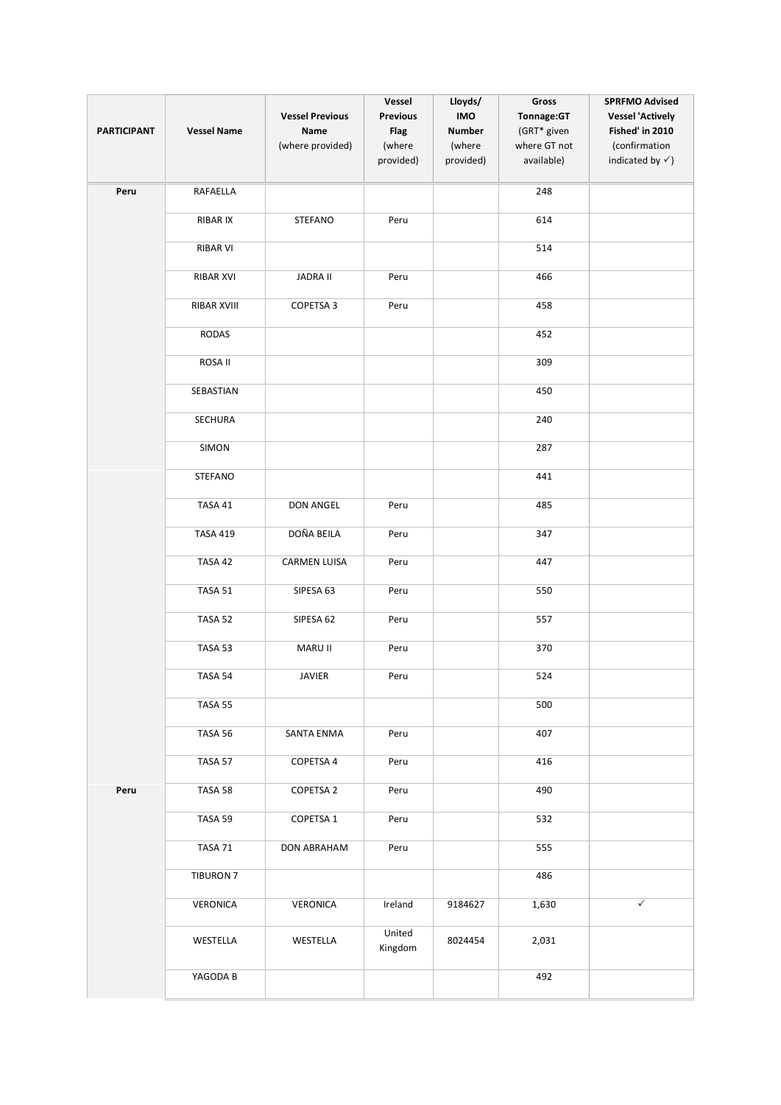| <b>PARTICIPANT</b> | <b>Vessel Name</b> | <b>Vessel Previous</b><br>Name<br>(where provided) | Vessel<br><b>Previous</b><br><b>Flag</b><br>(where<br>provided) | Lloyds/<br><b>IMO</b><br><b>Number</b><br>(where<br>provided) | Gross<br>Tonnage:GT<br>(GRT* given<br>where GT not<br>available) | <b>SPRFMO Advised</b><br><b>Vessel 'Actively</b><br>Fished' in 2010<br>(confirmation<br>indicated by $\checkmark$ ) |
|--------------------|--------------------|----------------------------------------------------|-----------------------------------------------------------------|---------------------------------------------------------------|------------------------------------------------------------------|---------------------------------------------------------------------------------------------------------------------|
| Peru               | RAFAELLA           |                                                    |                                                                 |                                                               | 248                                                              |                                                                                                                     |
|                    | RIBAR IX           | STEFANO                                            | Peru                                                            |                                                               | 614                                                              |                                                                                                                     |
|                    | <b>RIBAR VI</b>    |                                                    |                                                                 |                                                               | 514                                                              |                                                                                                                     |
|                    | RIBAR XVI          | <b>JADRA II</b>                                    | Peru                                                            |                                                               | 466                                                              |                                                                                                                     |
|                    | RIBAR XVIII        | COPETSA 3                                          | Peru                                                            |                                                               | 458                                                              |                                                                                                                     |
|                    | RODAS              |                                                    |                                                                 |                                                               | 452                                                              |                                                                                                                     |
|                    | ROSA II            |                                                    |                                                                 |                                                               | 309                                                              |                                                                                                                     |
|                    | SEBASTIAN          |                                                    |                                                                 |                                                               | 450                                                              |                                                                                                                     |
|                    | SECHURA            |                                                    |                                                                 |                                                               | 240                                                              |                                                                                                                     |
|                    | SIMON              |                                                    |                                                                 |                                                               | 287                                                              |                                                                                                                     |
|                    | STEFANO            |                                                    |                                                                 |                                                               | 441                                                              |                                                                                                                     |
|                    | TASA 41            | DON ANGEL                                          | Peru                                                            |                                                               | 485                                                              |                                                                                                                     |
|                    | <b>TASA 419</b>    | DOÑA BEILA                                         | Peru                                                            |                                                               | 347                                                              |                                                                                                                     |
|                    | TASA 42            | <b>CARMEN LUISA</b>                                | Peru                                                            |                                                               | 447                                                              |                                                                                                                     |
|                    | TASA 51            | SIPESA 63                                          | Peru                                                            |                                                               | 550                                                              |                                                                                                                     |
|                    | TASA 52            | SIPESA 62                                          | Peru                                                            |                                                               | 557                                                              |                                                                                                                     |
|                    | TASA 53            | MARU II                                            | Peru                                                            |                                                               | 370                                                              |                                                                                                                     |
|                    | TASA 54            | <b>JAVIER</b>                                      | Peru                                                            |                                                               | 524                                                              |                                                                                                                     |
|                    | TASA 55            |                                                    |                                                                 |                                                               | 500                                                              |                                                                                                                     |
|                    | TASA 56            | SANTA ENMA                                         | Peru                                                            |                                                               | 407                                                              |                                                                                                                     |
|                    | TASA 57            | COPETSA 4                                          | Peru                                                            |                                                               | 416                                                              |                                                                                                                     |
| Peru               | TASA 58            | <b>COPETSA 2</b>                                   | Peru                                                            |                                                               | 490                                                              |                                                                                                                     |
|                    | TASA 59            | COPETSA 1                                          | Peru                                                            |                                                               | 532                                                              |                                                                                                                     |
|                    | TASA 71            | DON ABRAHAM                                        | Peru                                                            |                                                               | 555                                                              |                                                                                                                     |
|                    | <b>TIBURON 7</b>   |                                                    |                                                                 |                                                               | 486                                                              |                                                                                                                     |
|                    | <b>VERONICA</b>    | VERONICA                                           | Ireland                                                         | 9184627                                                       | 1,630                                                            | $\checkmark$                                                                                                        |
|                    | WESTELLA           | WESTELLA                                           | United<br>Kingdom                                               | 8024454                                                       | 2,031                                                            |                                                                                                                     |
|                    | YAGODA B           |                                                    |                                                                 |                                                               | 492                                                              |                                                                                                                     |